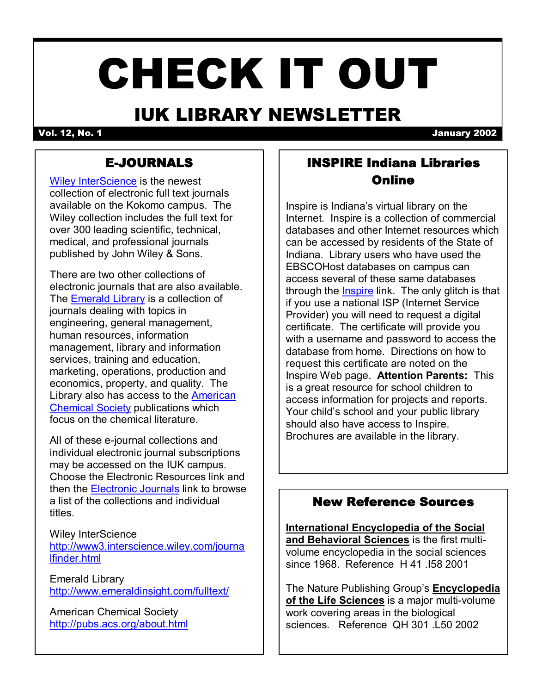# CHECK IT OUT

# IUK LIBRARY NEWSLETTER

Vol. 12, No. 1 January 2002

# EJOURNALS

[Wiley InterScience](http://www3.interscience.wiley.com/journalfinder.html) is the newest collection of electronic full text journals available on the Kokomo campus. The Wiley collection includes the full text for over 300 leading scientific, technical, medical, and professional journals published by John Wiley & Sons.

There are two other collections of electronic journals that are also available. The **Emerald Library** is a collection of journals dealing with topics in engineering, general management, human resources, information management, library and information services, training and education, marketing, operations, production and economics, property, and quality. The [Library also has access to the American](http://pubs.acs.org/about.html) Chemical Society publications which focus on the chemical literature.

All of these e-journal collections and individual electronic journal subscriptions may be accessed on the IUK campus. Choose the Electronic Resources link and then the [Electronic Journals](http://www.iuk.edu/library/journals.html) link to browse a list of the collections and individual titles.

Wiley InterScience [http://www3.interscience.wiley.com/journa](http://www3.interscience.wiley.com/journalfinder.html) lfinder.html

Emerald Library <http://www.emeraldinsight.com/fulltext/>

American Chemical Society <http://pubs.acs.org/about.html>

# INSPIRE Indiana Libraries Online

Inspire is Indiana's virtual library on the Internet. Inspire is a collection of commercial databases and other Internet resources which can be accessed by residents of the State of Indiana. Library users who have used the EBSCOHost databases on campus can access several of these same databases through the [Inspire](http://www.inspire.net/) link. The only glitch is that if you use a national ISP (Internet Service Provider) you will need to request a digital certificate. The certificate will provide you with a username and password to access the database from home. Directions on how to request this certificate are noted on the Inspire Web page. **Attention Parents:** This is a great resource for school children to access information for projects and reports. Your child's school and your public library should also have access to Inspire. Brochures are available in the library.

# New Reference Sources

**International Encyclopedia of the Social and Behavioral Sciences** is the first multi volume encyclopedia in the social sciences since 1968. Reference H 41 .I58 2001

The Nature Publishing Group's **Encyclopedia** of the Life Sciences is a major multi-volume work covering areas in the biological sciences. Reference QH 301 .L50 2002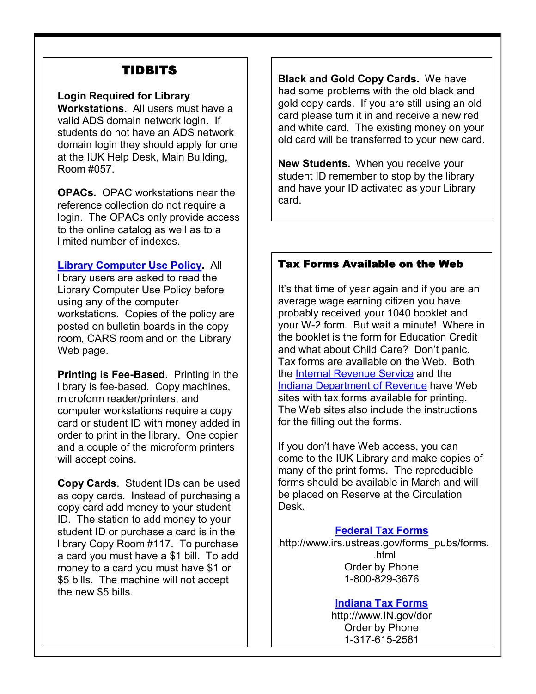# TIDBITS

#### **Login Required for Library**

**Workstations.** All users must have a valid ADS domain network login. If students do not have an ADS network domain login they should apply for one at the IUK Help Desk, Main Building, Room #057.

**OPACs.** OPAC workstations near the reference collection do not require a login. The OPACs only provide access to the online catalog as well as to a limited number of indexes.

**[Library Computer Use Policy](http://www.iuk.edu/library/usepolicy.pdf).** All library users are asked to read the Library Computer Use Policy before using any of the computer workstations. Copies of the policy are posted on bulletin boards in the copy room, CARS room and on the Library Web page.

**Printing is Fee-Based.** Printing in the library is fee-based. Copy machines, microform reader/printers, and computer workstations require a copy card or student ID with money added in order to print in the library. One copier and a couple of the microform printers will accept coins.

**Copy Cards**. Student IDs can be used as copy cards. Instead of purchasing a copy card add money to your student ID. The station to add money to your student ID or purchase a card is in the library Copy Room #117. To purchase a card you must have a \$1 bill. To add money to a card you must have \$1 or \$5 bills. The machine will not accept the new \$5 bills.

**Black and Gold Copy Cards.** We have had some problems with the old black and gold copy cards. If you are still using an old card please turn it in and receive a new red and white card. The existing money on your old card will be transferred to your new card.

**New Students.** When you receive your student ID remember to stop by the library and have your ID activated as your Library card.

### Tax Forms Available on the Web

It's that time of year again and if you are an average wage earning citizen you have probably received your 1040 booklet and your W2 form. But wait a minute! Where in the booklet is the form for Education Credit and what about Child Care? Don't panic. Tax forms are available on the Web. Both the [Internal Revenue Service](http://www.irs.ustreas.gov/forms_pubs/forms.html) and the [Indiana Department of Revenue](http://www.in.gov/dor/) have Web sites with tax forms available for printing. The Web sites also include the instructions for the filling out the forms.

If you don't have Web access, you can come to the IUK Library and make copies of many of the print forms. The reproducible forms should be available in March and will be placed on Reserve at the Circulation Desk.

#### **[Federal Tax](http://www.irs.ustreas.gov/forms_pubs/forms.html) Forms**

http://www.irs.ustreas.gov/forms\_pubs/forms. .html Order by Phone 1-800-829-3676

#### **[Indiana Tax](http://www.in.gov/dor/) Forms**

http://www.IN.gov/dor Order by Phone 1-317-615-2581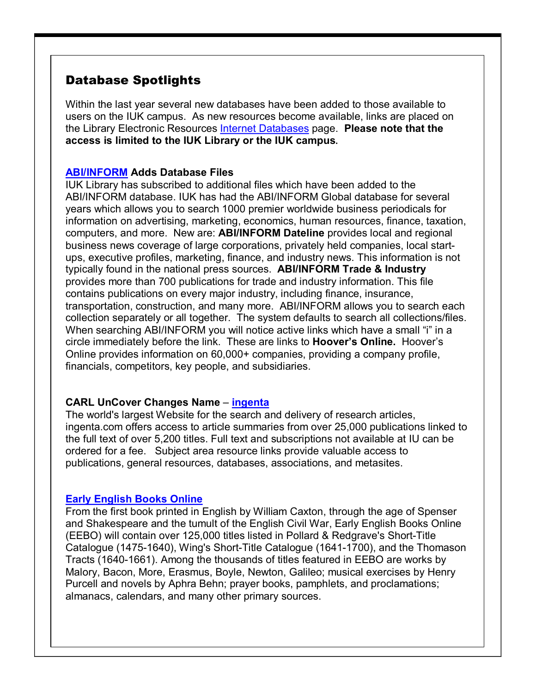# Database Spotlights

Within the last year several new databases have been added to those available to users on the IUK campus. As new resources become available, links are placed on the Library Electronic Resources [Internet Databases](http://www.iuk.edu/library/electronic.html) page. **Please note that the access is limited to the IUK Library or the IUK campus.**

#### **[ABI/INFORM](http://proquest.umi.com/pqdweb?RQT=306&TS=1012338754) Adds Database Files**

IUK Library has subscribed to additional files which have been added to the ABI/INFORM database. IUK has had the ABI/INFORM Global database for several years which allows you to search 1000 premier worldwide business periodicals for information on advertising, marketing, economics, human resources, finance, taxation, computers, and more. New are: **ABI/INFORM Dateline** provides local and regional business news coverage of large corporations, privately held companies, local start ups, executive profiles, marketing, finance, and industry news. This information is not typically found in the national press sources. **ABI/INFORM Trade & Industry** provides more than 700 publications for trade and industry information. This file contains publications on every major industry, including finance, insurance, transportation, construction, and many more. ABI/INFORM allows you to search each collection separately or all together. The system defaults to search all collections/files. When searching ABI/INFORM you will notice active links which have a small "i" in a circle immediately before the link. These are links to **Hoover's Online.** Hoover's Online provides information on 60,000+ companies, providing a company profile, financials, competitors, key people, and subsidiaries.

#### **CARL UnCover Changes Name** – **[ingenta](http://www.ingenta.com/)**

The world's largest Website for the search and delivery of research articles, ingenta.com offers access to article summaries from over 25,000 publications linked to the full text of over 5,200 titles. Full text and subscriptions not available at IU can be ordered for a fee. Subject area resource links provide valuable access to publications, general resources, databases, associations, and metasites.

#### **Early [English Books Online](http://wwwlib.umi.com/eebo)**

From the first book printed in English by William Caxton, through the age of Spenser and Shakespeare and the tumult of the English Civil War, Early English Books Online (EEBO) will contain over 125,000 titles listed in Pollard & Redgrave's Short-Title Catalogue (1475-1640), Wing's Short-Title Catalogue (1641-1700), and the Thomason Tracts (1640-1661). Among the thousands of titles featured in EEBO are works by Malory, Bacon, More, Erasmus, Boyle, Newton, Galileo; musical exercises by Henry Purcell and novels by Aphra Behn; prayer books, pamphlets, and proclamations; almanacs, calendars, and many other primary sources.